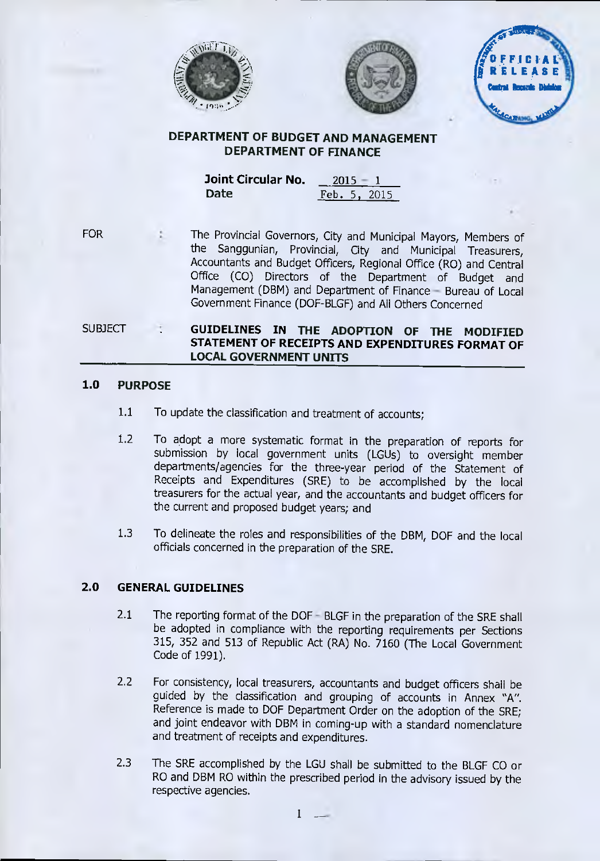



**(***)*<br>(*)*<br>(*)*<br>(*)*<br>(*) <sup>4</sup>***a FFICIAL RELEASE Central Bacards MaidCARANG, MARY** 

# **DEPARTMENT OF BUDGET AND MANAGEMENT DEPARTMENT OF FINANCE**

**Joint Circular No. 2015 – 1 Date Feb. 5, 2015** 

FOR

The Provincial Governors, City and Municipal Mayors, Members of the Sanggunian, Provincial, City and Municipal Treasurers, Accountants and Budget Officers, Regional Office (RO) and Central Office (CO) Directors of the Department of Budget and Management (DBM) and Department of Finance — Bureau of Local Government Finance (DOF-BLGF) and All Others Concerned

**SUBJECT GUIDELINES IN THE ADOPTION OF THE MODIFIED STATEMENT OF RECEIPTS AND EXPENDITURES FORMAT OF LOCAL GOVERNMENT UNITS** 

## **1.0 PURPOSE**

- 1.1 To update the classification and treatment of accounts;
- 1.2 To adopt a more systematic format in the preparation of reports for submission by local government units (LGUs) to oversight member departments/agencies for the three-year period of the Statement of Receipts and Expenditures (SRE) to be accomplished by the local treasurers for the actual year, and the accountants and budget officers for the current and proposed budget years; and
- 1.3 To delineate the roles and responsibilities of the DBM, DOF and the local officials concerned in the preparation of the SRE.

## **2.0 GENERAL GUIDELINES**

- 2.1 The reporting format of the DOF BLGF in the preparation of the SRE shall be adopted in compliance with the reporting requirements per Sections 315, 352 and 513 of Republic Act (RA) No. 7160 (The Local Government Code of 1991).
- 2.2 For consistency, local treasurers, accountants and budget officers shall be guided by the classification and grouping of accounts in Annex "A". Reference is made to DOF Department Order on the adoption of the SRE; and joint endeavor with DBM in coming-up with a standard nomenclature and treatment of receipts and expenditures.
- 2.3 The SRE accomplished by the LGU shall be submitted to the BLGF CO or RO and DBM RO within the prescribed period in the advisory issued by the respective agencies.

1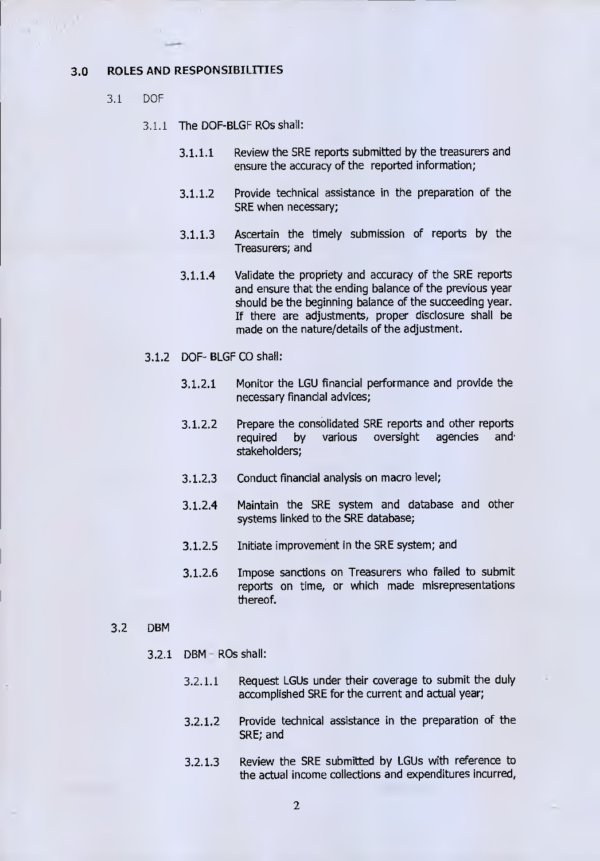### 3.0 ROLES AND RESPONSIBILITIES

- 3.1 DOE
	- 3.1.1 The DOF-BLGF ROs shall:
		- 3.1.1.1 Review the SRE reports submitted by the treasurers and ensure the accuracy of the reported information;
		- 3.1.1.2 Provide technical assistance in the preparation of the SRE when necessary;
		- 3.1.1.3 Ascertain the timely submission of reports by the Treasurers; and
		- 3.1.1.4 Validate the propriety and accuracy of the SRE reports and ensure that the ending balance of the previous year should be the beginning balance of the succeeding year. If there are adjustments, proper disclosure shall be made on the nature/details of the adjustment.
	- 3.1.2 DOF- BLGF CO shall:
		- 3.1.2.1 Monitor the LGU financial performance and provide the necessary financial advices;
		- 3.1.2.2 Prepare the consolidated SRE reports and other reports<br>required by various oversight agencies and required by various oversight agencies and. stakeholders;
		- 3.1.2.3 Conduct financial analysis on macro level;
		- 3.1.2.4 Maintain the SRE system and database and other systems linked to the SRE database;
		- 3.1.2.5 Initiate improvement in the SRE system; and
		- 3.1.2.6 Impose sanctions on Treasurers who failed to submit reports on time, or which made misrepresentations thereof.
- 3.2 DBM
	- 3.2.1 DBM ROs shall:
		- 3.2.1.1 Request LGUs under their coverage to submit the duly accomplished SRE for the current and actual year;
		- 3.2.1.2 Provide technical assistance in the preparation of the SRE; and
		- 3.2.1.3 Review the SRE submitted by LGUs with reference to the actual income collections and expenditures incurred,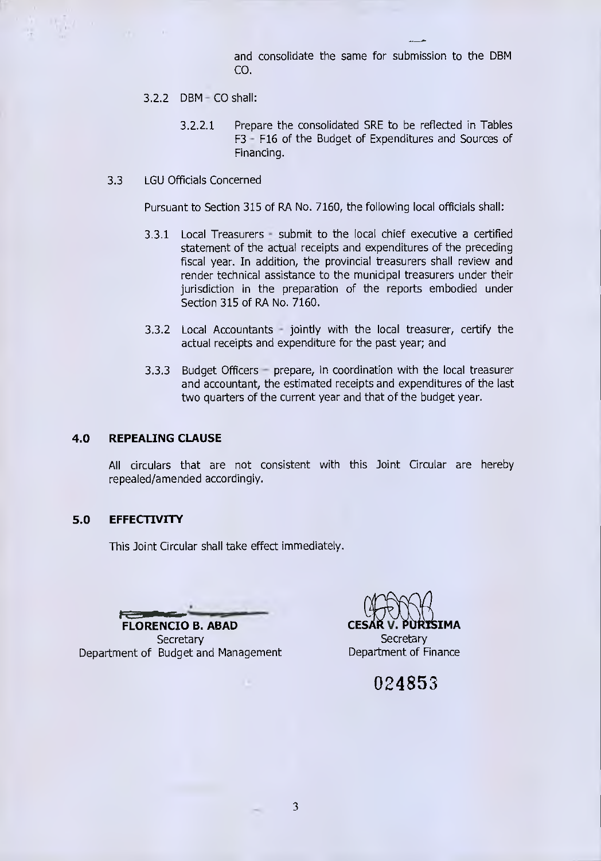and consolidate the same for submission to the DBM CO.

- 3.2.2 DBM CO shall:
	- 3.2.2.1 Prepare the consolidated SRE to be reflected in Tables F3 - F16 of the Budget of Expenditures and Sources of Financing.
- 3.3 LGU Officials Concerned

Pursuant to Section 315 of RA No. 7160, the following local officials shall:

- 3.3.1 Local Treasurers submit to the local chief executive a certified statement of the actual receipts and expenditures of the preceding fiscal year. In addition, the provincial treasurers shall review and render technical assistance to the municipal treasurers under their jurisdiction in the preparation of the reports embodied under Section 315 of RA No. 7160,
- 3.3.2 Local Accountants jointly with the local treasurer, certify the actual receipts and expenditure for the past year; and
- 3.3.3 Budget Officers prepare, in coordination with the local treasurer and accountant, the estimated receipts and expenditures of the last two quarters of the current year and that of the budget year.

#### **4.0 REPEALING CLAUSE**

All circulars that are not consistent with this Joint Circular are hereby repealed/amended accordingly.

### **5.0 EFFECTIVITY**

This Joint Circular shall take effect immediately.

**FLORENCIO B. ABAD** 

**Secretary** Department of Budget and Management

**CESAR V. PURTSIMA** 

**Secretary** Department of Finance

024853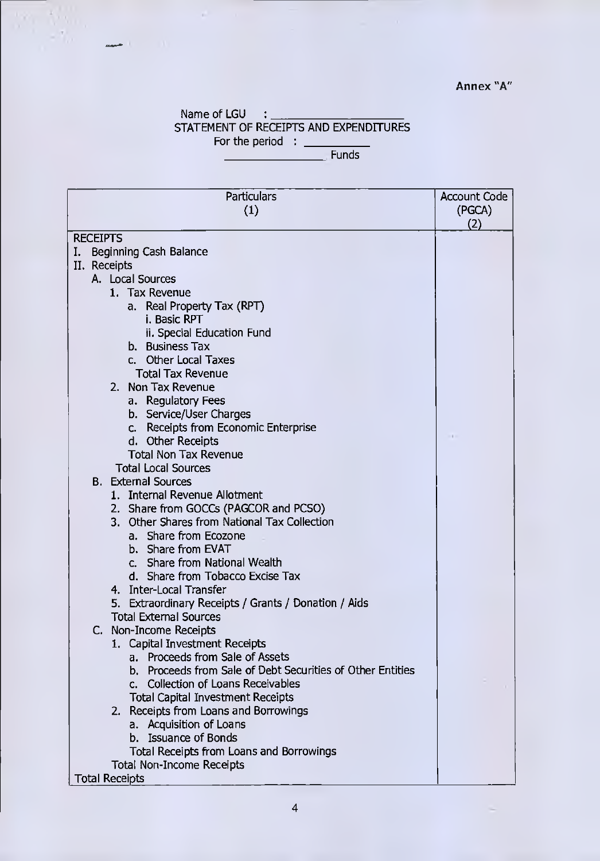# Annex "A"

### Name of LGU : \_\_ STATEMENT OF RECEIPTS AND EXPENDITURES For the period :

i.

 $\mathcal{P}=\mathcal{P}$ 

Funds

| Particulars                                                | <b>Account Code</b> |
|------------------------------------------------------------|---------------------|
| (1)                                                        | (PGCA)              |
|                                                            | (2)                 |
| <b>RECEIPTS</b>                                            |                     |
| Beginning Cash Balance<br>I.                               |                     |
| II. Receipts                                               |                     |
| A. Local Sources                                           |                     |
| 1. Tax Revenue                                             |                     |
| a. Real Property Tax (RPT)                                 |                     |
| i. Basic RPT                                               |                     |
| ii. Special Education Fund                                 |                     |
| b. Business Tax                                            |                     |
| c. Other Local Taxes                                       |                     |
| <b>Total Tax Revenue</b>                                   |                     |
| 2. Non Tax Revenue                                         |                     |
| a. Regulatory Fees                                         |                     |
| b. Service/User Charges                                    |                     |
| c. Receipts from Economic Enterprise                       |                     |
| d. Other Receipts                                          |                     |
| <b>Total Non Tax Revenue</b>                               |                     |
| <b>Total Local Sources</b>                                 |                     |
| <b>B.</b> External Sources                                 |                     |
| 1. Internal Revenue Allotment                              |                     |
| 2. Share from GOCCs (PAGCOR and PCSO)                      |                     |
| 3. Other Shares from National Tax Collection               |                     |
| a. Share from Ecozone                                      |                     |
| b. Share from EVAT                                         |                     |
| c. Share from National Wealth                              |                     |
| d. Share from Tobacco Excise Tax                           |                     |
| 4. Inter-Local Transfer                                    |                     |
| 5. Extraordinary Receipts / Grants / Donation / Aids       |                     |
| <b>Total External Sources</b>                              |                     |
| C. Non-Income Receipts                                     |                     |
| 1. Capital Investment Receipts                             |                     |
| a. Proceeds from Sale of Assets                            |                     |
| b. Proceeds from Sale of Debt Securities of Other Entities |                     |
| c. Collection of Loans Receivables                         |                     |
| <b>Total Capital Investment Receipts</b>                   |                     |
| 2. Receipts from Loans and Borrowings                      |                     |
| Acquisition of Loans<br>a.                                 |                     |
| b. Issuance of Bonds                                       |                     |
| Total Receipts from Loans and Borrowings                   |                     |
| <b>Total Non-Income Receipts</b>                           |                     |
| <b>Total Receipts</b>                                      |                     |